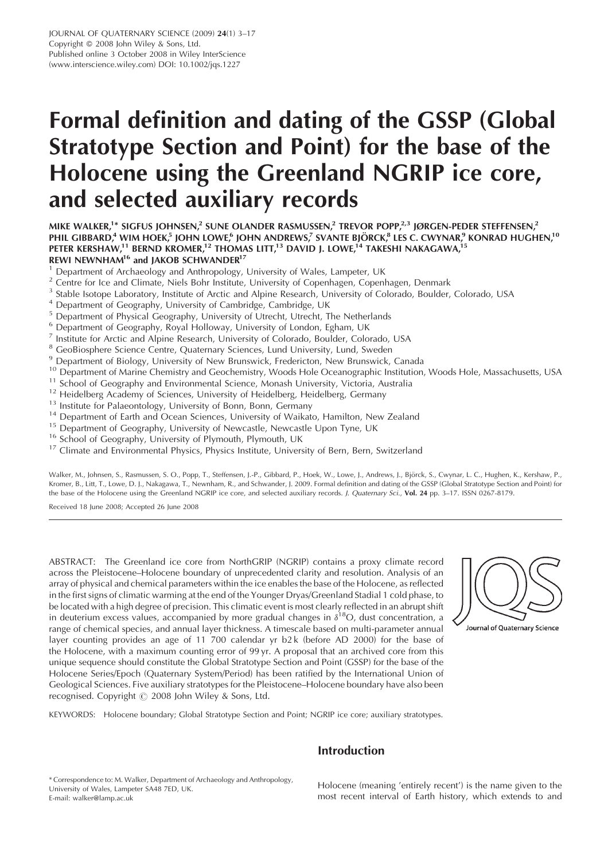# Formal definition and dating of the GSSP (Global Stratotype Section and Point) for the base of the Holocene using the Greenland NGRIP ice core, and selected auxiliary records

MIKE WALKER,<sup>1\*</sup> SIGFUS JOHNSEN,<sup>2</sup> SUNE OLANDER RASMUSSEN,<sup>2</sup> TREVOR POPP,<sup>2,3</sup> JØRGEN-PEDER STEFFENSEN,<sup>2</sup> PHIL GIBBARD,<sup>4</sup> WIM HOEK,<sup>5</sup> JOHN LOWE,6 JOHN ANDREWS,<sup>7</sup> SVANTE BJÖRCK,<sup>8</sup> LES C. CWYNAR,<sup>9</sup> KONRAD HUGHEN,<sup>10</sup> PETER KERSHAW,<sup>11</sup> BERND KROMER,<sup>12</sup> THOMAS LITT,<sup>13</sup> DAVID J. LOWE,<sup>14</sup> TAKESHI NAKAGAWA,<sup>15</sup> REWI NEWNHAM<sup>16</sup> and JAKOB SCHWANDER<sup>17</sup>

- Department of Archaeology and Anthropology, University of Wales, Lampeter, UK
- <sup>2</sup> Centre for Ice and Climate, Niels Bohr Institute, University of Copenhagen, Copenhagen, Denmark
- <sup>3</sup> Stable Isotope Laboratory, Institute of Arctic and Alpine Research, University of Colorado, Boulder, Colorado, USA
- <sup>4</sup> Department of Geography, University of Cambridge, Cambridge, UK
- <sup>5</sup> Department of Physical Geography, University of Utrecht, Utrecht, The Netherlands
- <sup>6</sup> Department of Geography, Royal Holloway, University of London, Egham, UK
- <sup>7</sup> Institute for Arctic and Alpine Research, University of Colorado, Boulder, Colorado, USA
- <sup>8</sup> GeoBiosphere Science Centre, Quaternary Sciences, Lund University, Lund, Sweden
- <sup>9</sup> Department of Biology, University of New Brunswick, Fredericton, New Brunswick, Canada
- <sup>10</sup> Department of Marine Chemistry and Geochemistry, Woods Hole Oceanographic Institution, Woods Hole, Massachusetts, USA<br>
<sup>11</sup> School of Geography and Environmental Science, Monash University, Victoria, Australia<br>
<sup>12</sup>
- 
- 
- 
- 
- 
- 
- 

Walker, M., Johnsen, S., Rasmussen, S. O., Popp, T., Steffensen, J.-P., Gibbard, P., Hoek, W., Lowe, J., Andrews, J., Björck, S., Cwynar, L. C., Hughen, K., Kershaw, P., Kromer, B., Litt, T., Lowe, D. J., Nakagawa, T., Newnham, R., and Schwander, J. 2009. Formal definition and dating of the GSSP (Global Stratotype Section and Point) for the base of the Holocene using the Greenland NGRIP ice core, and selected auxiliary records. J. Quaternary Sci., Vol. 24 pp. 3-17. ISSN 0267-8179.

Received 18 June 2008; Accepted 26 June 2008

ABSTRACT: The Greenland ice core from NorthGRIP (NGRIP) contains a proxy climate record across the Pleistocene–Holocene boundary of unprecedented clarity and resolution. Analysis of an array of physical and chemical parameters within the ice enables the base of the Holocene, as reflected in the first signs of climatic warming at the end of the Younger Dryas/Greenland Stadial 1 cold phase, to be located with a high degree of precision. This climatic event is most clearly reflected in an abrupt shift in deuterium excess values, accompanied by more gradual changes in  $\delta^{18}O$ , dust concentration, a range of chemical species, and annual layer thickness. A timescale based on multi-parameter annual layer counting provides an age of 11 700 calendar yr b2 k (before AD 2000) for the base of the Holocene, with a maximum counting error of 99 yr. A proposal that an archived core from this unique sequence should constitute the Global Stratotype Section and Point (GSSP) for the base of the Holocene Series/Epoch (Quaternary System/Period) has been ratified by the International Union of Geological Sciences. Five auxiliary stratotypes for the Pleistocene–Holocene boundary have also been recognised. Copyright  $\odot$  2008 John Wiley & Sons, Ltd.

KEYWORDS: Holocene boundary; Global Stratotype Section and Point; NGRIP ice core; auxiliary stratotypes.

Journal of Quaternary Science

# Introduction

\* Correspondence to: M. Walker, Department of Archaeology and Anthropology, University of Wales, Lampeter SA48 7ED, UK. E-mail: walker@lamp.ac.uk

Holocene (meaning 'entirely recent') is the name given to the most recent interval of Earth history, which extends to and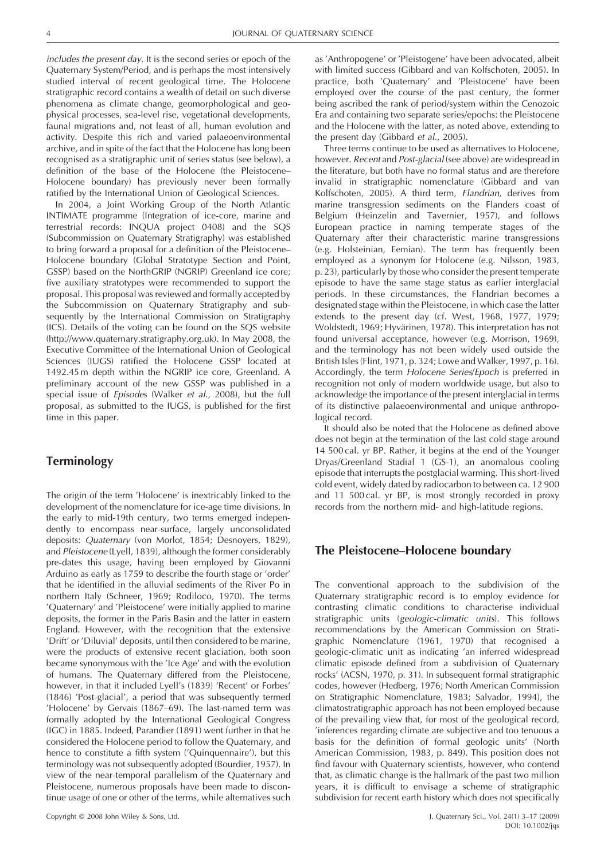includes the present day. It is the second series or epoch of the Quaternary System/Period, and is perhaps the most intensively studied interval of recent geological time. The Holocene stratigraphic record contains a wealth of detail on such diverse phenomena as climate change, geomorphological and geophysical processes, sea-level rise, vegetational developments, faunal migrations and, not least of all, human evolution and activity. Despite this rich and varied palaeoenvironmental archive, and in spite of the fact that the Holocene has long been recognised as a stratigraphic unit of series status (see below), a definition of the base of the Holocene (the Pleistocene– Holocene boundary) has previously never been formally ratified by the International Union of Geological Sciences.

In 2004, a Joint Working Group of the North Atlantic INTIMATE programme (Integration of ice-core, marine and terrestrial records: INQUA project 0408) and the SQS (Subcommission on Quaternary Stratigraphy) was established to bring forward a proposal for a definition of the Pleistocene– Holocene boundary (Global Stratotype Section and Point, GSSP) based on the NorthGRIP (NGRIP) Greenland ice core; five auxiliary stratotypes were recommended to support the proposal. This proposal was reviewed and formally accepted by the Subcommission on Quaternary Stratigraphy and subsequently by the International Commission on Stratigraphy (ICS). Details of the voting can be found on the SQS website (http://www.quaternary.stratigraphy.org.uk). In May 2008, the Executive Committee of the International Union of Geological Sciences (IUGS) ratified the Holocene GSSP located at 1492.45 m depth within the NGRIP ice core, Greenland. A preliminary account of the new GSSP was published in a special issue of Episodes (Walker et al., 2008), but the full proposal, as submitted to the IUGS, is published for the first time in this paper.

# Terminology

The origin of the term 'Holocene' is inextricably linked to the development of the nomenclature for ice-age time divisions. In the early to mid-19th century, two terms emerged independently to encompass near-surface, largely unconsolidated deposits: Quaternary (von Morlot, 1854; Desnoyers, 1829), and Pleistocene (Lyell, 1839), although the former considerably pre-dates this usage, having been employed by Giovanni Arduino as early as 1759 to describe the fourth stage or 'order' that he identified in the alluvial sediments of the River Po in northern Italy (Schneer, 1969; Rodiloco, 1970). The terms 'Quaternary' and 'Pleistocene' were initially applied to marine deposits, the former in the Paris Basin and the latter in eastern England. However, with the recognition that the extensive 'Drift' or 'Diluvial' deposits, until then considered to be marine, were the products of extensive recent glaciation, both soon became synonymous with the 'Ice Age' and with the evolution of humans. The Quaternary differed from the Pleistocene, however, in that it included Lyell's (1839) 'Recent' or Forbes' (1846) 'Post-glacial', a period that was subsequently termed 'Holocene' by Gervais (1867–69). The last-named term was formally adopted by the International Geological Congress (IGC) in 1885. Indeed, Parandier (1891) went further in that he considered the Holocene period to follow the Quaternary, and hence to constitute a fifth system ('Quinquennaire'), but this terminology was not subsequently adopted (Bourdier, 1957). In view of the near-temporal parallelism of the Quaternary and Pleistocene, numerous proposals have been made to discontinue usage of one or other of the terms, while alternatives such

as 'Anthropogene' or 'Pleistogene' have been advocated, albeit with limited success (Gibbard and van Kolfschoten, 2005). In practice, both 'Quaternary' and 'Pleistocene' have been employed over the course of the past century, the former being ascribed the rank of period/system within the Cenozoic Era and containing two separate series/epochs: the Pleistocene and the Holocene with the latter, as noted above, extending to the present day (Gibbard et al., 2005).

Three terms continue to be used as alternatives to Holocene, however. Recent and Post-glacial (see above) are widespread in the literature, but both have no formal status and are therefore invalid in stratigraphic nomenclature (Gibbard and van Kolfschoten, 2005). A third term, Flandrian, derives from marine transgression sediments on the Flanders coast of Belgium (Heinzelin and Tavernier, 1957), and follows European practice in naming temperate stages of the Quaternary after their characteristic marine transgressions (e.g. Holsteinian, Eemian). The term has frequently been employed as a synonym for Holocene (e.g. Nilsson, 1983, p. 23), particularly by those who consider the present temperate episode to have the same stage status as earlier interglacial periods. In these circumstances, the Flandrian becomes a designated stage within the Pleistocene, in which case the latter extends to the present day (cf. West, 1968, 1977, 1979; Woldstedt, 1969; Hyvärinen, 1978). This interpretation has not found universal acceptance, however (e.g. Morrison, 1969), and the terminology has not been widely used outside the British Isles (Flint, 1971, p. 324; Lowe and Walker, 1997, p. 16). Accordingly, the term Holocene Series/Epoch is preferred in recognition not only of modern worldwide usage, but also to acknowledge the importance of the present interglacial in terms of its distinctive palaeoenvironmental and unique anthropological record.

It should also be noted that the Holocene as defined above does not begin at the termination of the last cold stage around 14 500 cal. yr BP. Rather, it begins at the end of the Younger Dryas/Greenland Stadial 1 (GS-1), an anomalous cooling episode that interrupts the postglacial warming. This short-lived cold event, widely dated by radiocarbon to between ca. 12 900 and 11 500 cal. yr BP, is most strongly recorded in proxy records from the northern mid- and high-latitude regions.

# The Pleistocene–Holocene boundary

The conventional approach to the subdivision of the Quaternary stratigraphic record is to employ evidence for contrasting climatic conditions to characterise individual stratigraphic units (geologic-climatic units). This follows recommendations by the American Commission on Stratigraphic Nomenclature (1961, 1970) that recognised a geologic-climatic unit as indicating 'an inferred widespread climatic episode defined from a subdivision of Quaternary rocks' (ACSN, 1970, p. 31). In subsequent formal stratigraphic codes, however (Hedberg, 1976; North American Commission on Stratigraphic Nomenclature, 1983; Salvador, 1994), the climatostratigraphic approach has not been employed because of the prevailing view that, for most of the geological record, 'inferences regarding climate are subjective and too tenuous a basis for the definition of formal geologic units' (North American Commission, 1983, p. 849). This position does not find favour with Quaternary scientists, however, who contend that, as climatic change is the hallmark of the past two million years, it is difficult to envisage a scheme of stratigraphic subdivision for recent earth history which does not specifically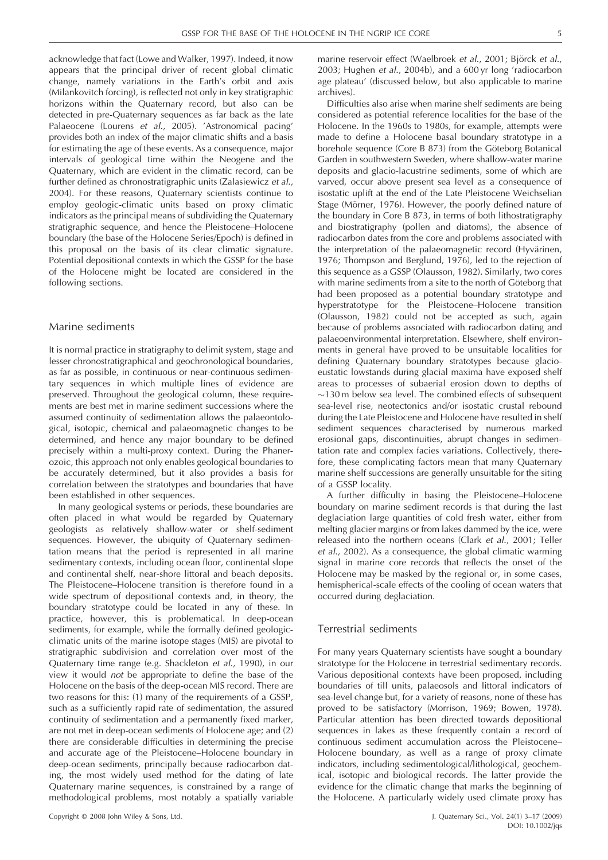acknowledge that fact (Lowe and Walker, 1997). Indeed, it now appears that the principal driver of recent global climatic change, namely variations in the Earth's orbit and axis (Milankovitch forcing), is reflected not only in key stratigraphic horizons within the Quaternary record, but also can be detected in pre-Quaternary sequences as far back as the late Palaeocene (Lourens et al., 2005). 'Astronomical pacing' provides both an index of the major climatic shifts and a basis for estimating the age of these events. As a consequence, major intervals of geological time within the Neogene and the Quaternary, which are evident in the climatic record, can be further defined as chronostratigraphic units (Zalasiewicz et al., 2004). For these reasons, Quaternary scientists continue to employ geologic-climatic units based on proxy climatic indicators as the principal means of subdividing the Quaternary stratigraphic sequence, and hence the Pleistocene–Holocene boundary (the base of the Holocene Series/Epoch) is defined in this proposal on the basis of its clear climatic signature. Potential depositional contexts in which the GSSP for the base of the Holocene might be located are considered in the following sections.

#### Marine sediments

It is normal practice in stratigraphy to delimit system, stage and lesser chronostratigraphical and geochronological boundaries, as far as possible, in continuous or near-continuous sedimentary sequences in which multiple lines of evidence are preserved. Throughout the geological column, these requirements are best met in marine sediment successions where the assumed continuity of sedimentation allows the palaeontological, isotopic, chemical and palaeomagnetic changes to be determined, and hence any major boundary to be defined precisely within a multi-proxy context. During the Phanerozoic, this approach not only enables geological boundaries to be accurately determined, but it also provides a basis for correlation between the stratotypes and boundaries that have been established in other sequences.

In many geological systems or periods, these boundaries are often placed in what would be regarded by Quaternary geologists as relatively shallow-water or shelf-sediment sequences. However, the ubiquity of Quaternary sedimentation means that the period is represented in all marine sedimentary contexts, including ocean floor, continental slope and continental shelf, near-shore littoral and beach deposits. The Pleistocene–Holocene transition is therefore found in a wide spectrum of depositional contexts and, in theory, the boundary stratotype could be located in any of these. In practice, however, this is problematical. In deep-ocean sediments, for example, while the formally defined geologicclimatic units of the marine isotope stages (MIS) are pivotal to stratigraphic subdivision and correlation over most of the Quaternary time range (e.g. Shackleton et al., 1990), in our view it would not be appropriate to define the base of the Holocene on the basis of the deep-ocean MIS record. There are two reasons for this: (1) many of the requirements of a GSSP, such as a sufficiently rapid rate of sedimentation, the assured continuity of sedimentation and a permanently fixed marker, are not met in deep-ocean sediments of Holocene age; and (2) there are considerable difficulties in determining the precise and accurate age of the Pleistocene–Holocene boundary in deep-ocean sediments, principally because radiocarbon dating, the most widely used method for the dating of late Quaternary marine sequences, is constrained by a range of methodological problems, most notably a spatially variable

marine reservoir effect (Waelbroek et al., 2001; Björck et al., 2003; Hughen et al., 2004b), and a 600 yr long 'radiocarbon age plateau' (discussed below, but also applicable to marine archives).

Difficulties also arise when marine shelf sediments are being considered as potential reference localities for the base of the Holocene. In the 1960s to 1980s, for example, attempts were made to define a Holocene basal boundary stratotype in a borehole sequence (Core B 873) from the Göteborg Botanical Garden in southwestern Sweden, where shallow-water marine deposits and glacio-lacustrine sediments, some of which are varved, occur above present sea level as a consequence of isostatic uplift at the end of the Late Pleistocene Weichselian Stage (Mörner, 1976). However, the poorly defined nature of the boundary in Core B 873, in terms of both lithostratigraphy and biostratigraphy (pollen and diatoms), the absence of radiocarbon dates from the core and problems associated with the interpretation of the palaeomagnetic record (Hyvärinen, 1976; Thompson and Berglund, 1976), led to the rejection of this sequence as a GSSP (Olausson, 1982). Similarly, two cores with marine sediments from a site to the north of Göteborg that had been proposed as a potential boundary stratotype and hyperstratotype for the Pleistocene–Holocene transition (Olausson, 1982) could not be accepted as such, again because of problems associated with radiocarbon dating and palaeoenvironmental interpretation. Elsewhere, shelf environments in general have proved to be unsuitable localities for defining Quaternary boundary stratotypes because glacioeustatic lowstands during glacial maxima have exposed shelf areas to processes of subaerial erosion down to depths of  $\sim$ 130 m below sea level. The combined effects of subsequent sea-level rise, neotectonics and/or isostatic crustal rebound during the Late Pleistocene and Holocene have resulted in shelf sediment sequences characterised by numerous marked erosional gaps, discontinuities, abrupt changes in sedimentation rate and complex facies variations. Collectively, therefore, these complicating factors mean that many Quaternary marine shelf successions are generally unsuitable for the siting of a GSSP locality.

A further difficulty in basing the Pleistocene–Holocene boundary on marine sediment records is that during the last deglaciation large quantities of cold fresh water, either from melting glacier margins or from lakes dammed by the ice, were released into the northern oceans (Clark et al., 2001; Teller et al., 2002). As a consequence, the global climatic warming signal in marine core records that reflects the onset of the Holocene may be masked by the regional or, in some cases, hemispherical-scale effects of the cooling of ocean waters that occurred during deglaciation.

### Terrestrial sediments

For many years Quaternary scientists have sought a boundary stratotype for the Holocene in terrestrial sedimentary records. Various depositional contexts have been proposed, including boundaries of till units, palaeosols and littoral indicators of sea-level change but, for a variety of reasons, none of these has proved to be satisfactory (Morrison, 1969; Bowen, 1978). Particular attention has been directed towards depositional sequences in lakes as these frequently contain a record of continuous sediment accumulation across the Pleistocene– Holocene boundary, as well as a range of proxy climate indicators, including sedimentological/lithological, geochemical, isotopic and biological records. The latter provide the evidence for the climatic change that marks the beginning of the Holocene. A particularly widely used climate proxy has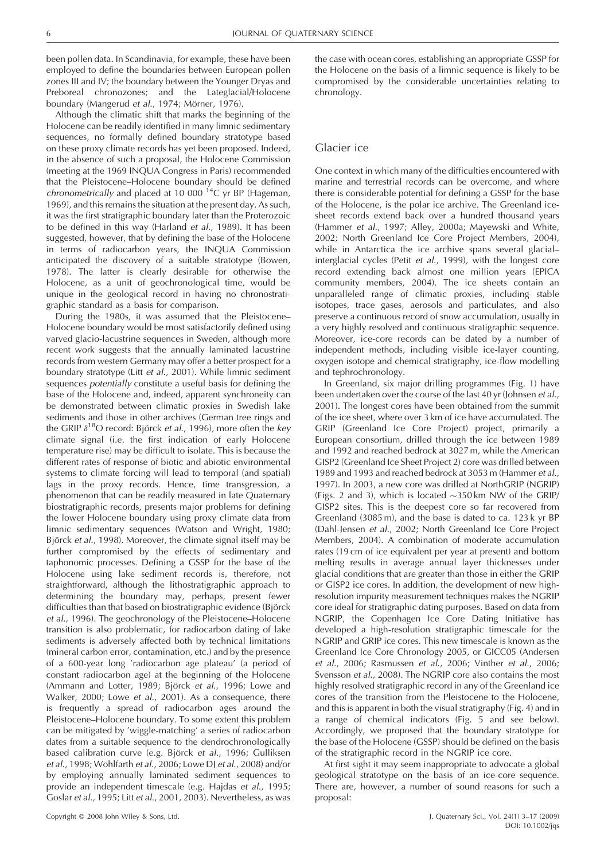been pollen data. In Scandinavia, for example, these have been employed to define the boundaries between European pollen zones III and IV; the boundary between the Younger Dryas and Preboreal chronozones; and the Lateglacial/Holocene boundary (Mangerud et al., 1974; Mörner, 1976).

Although the climatic shift that marks the beginning of the Holocene can be readily identified in many limnic sedimentary sequences, no formally defined boundary stratotype based on these proxy climate records has yet been proposed. Indeed, in the absence of such a proposal, the Holocene Commission (meeting at the 1969 INQUA Congress in Paris) recommended that the Pleistocene–Holocene boundary should be defined chronometrically and placed at 10 000  $14C$  yr BP (Hageman, 1969), and this remains the situation at the present day. As such, it was the first stratigraphic boundary later than the Proterozoic to be defined in this way (Harland et al., 1989). It has been suggested, however, that by defining the base of the Holocene in terms of radiocarbon years, the INQUA Commission anticipated the discovery of a suitable stratotype (Bowen, 1978). The latter is clearly desirable for otherwise the Holocene, as a unit of geochronological time, would be unique in the geological record in having no chronostratigraphic standard as a basis for comparison.

During the 1980s, it was assumed that the Pleistocene– Holocene boundary would be most satisfactorily defined using varved glacio-lacustrine sequences in Sweden, although more recent work suggests that the annually laminated lacustrine records from western Germany may offer a better prospect for a boundary stratotype (Litt et al., 2001). While limnic sediment sequences potentially constitute a useful basis for defining the base of the Holocene and, indeed, apparent synchroneity can be demonstrated between climatic proxies in Swedish lake sediments and those in other archives (German tree rings and the GRIP  $\delta^{18}$ O record: Björck *et al.*, 1996), more often the key climate signal (i.e. the first indication of early Holocene temperature rise) may be difficult to isolate. This is because the different rates of response of biotic and abiotic environmental systems to climate forcing will lead to temporal (and spatial) lags in the proxy records. Hence, time transgression, a phenomenon that can be readily measured in late Quaternary biostratigraphic records, presents major problems for defining the lower Holocene boundary using proxy climate data from limnic sedimentary sequences (Watson and Wright, 1980; Björck et al., 1998). Moreover, the climate signal itself may be further compromised by the effects of sedimentary and taphonomic processes. Defining a GSSP for the base of the Holocene using lake sediment records is, therefore, not straightforward, although the lithostratigraphic approach to determining the boundary may, perhaps, present fewer difficulties than that based on biostratigraphic evidence (Björck et al., 1996). The geochronology of the Pleistocene–Holocene transition is also problematic, for radiocarbon dating of lake sediments is adversely affected both by technical limitations (mineral carbon error, contamination, etc.) and by the presence of a 600-year long 'radiocarbon age plateau' (a period of constant radiocarbon age) at the beginning of the Holocene (Ammann and Lotter, 1989; Björck et al., 1996; Lowe and Walker, 2000; Lowe et al., 2001). As a consequence, there is frequently a spread of radiocarbon ages around the Pleistocene–Holocene boundary. To some extent this problem can be mitigated by 'wiggle-matching' a series of radiocarbon dates from a suitable sequence to the dendrochronologically based calibration curve (e.g. Björck et al., 1996; Gulliksen et al., 1998; Wohlfarth et al., 2006; Lowe DJ et al., 2008) and/or by employing annually laminated sediment sequences to provide an independent timescale (e.g. Hajdas et al., 1995; Goslar et al., 1995; Litt et al., 2001, 2003). Nevertheless, as was

the case with ocean cores, establishing an appropriate GSSP for the Holocene on the basis of a limnic sequence is likely to be compromised by the considerable uncertainties relating to chronology.

#### Glacier ice

One context in which many of the difficulties encountered with marine and terrestrial records can be overcome, and where there is considerable potential for defining a GSSP for the base of the Holocene, is the polar ice archive. The Greenland icesheet records extend back over a hundred thousand years (Hammer et al., 1997; Alley, 2000a; Mayewski and White, 2002; North Greenland Ice Core Project Members, 2004), while in Antarctica the ice archive spans several glacial– interglacial cycles (Petit et al., 1999), with the longest core record extending back almost one million years (EPICA community members, 2004). The ice sheets contain an unparalleled range of climatic proxies, including stable isotopes, trace gases, aerosols and particulates, and also preserve a continuous record of snow accumulation, usually in a very highly resolved and continuous stratigraphic sequence. Moreover, ice-core records can be dated by a number of independent methods, including visible ice-layer counting, oxygen isotope and chemical stratigraphy, ice-flow modelling and tephrochronology.

In Greenland, six major drilling programmes (Fig. 1) have been undertaken over the course of the last 40 yr (Johnsen et al., 2001). The longest cores have been obtained from the summit of the ice sheet, where over 3 km of ice have accumulated. The GRIP (Greenland Ice Core Project) project, primarily a European consortium, drilled through the ice between 1989 and 1992 and reached bedrock at 3027 m, while the American GISP2 (Greenland Ice Sheet Project 2) core was drilled between 1989 and 1993 and reached bedrock at 3053 m (Hammer et al., 1997). In 2003, a new core was drilled at NorthGRIP (NGRIP) (Figs. 2 and 3), which is located  $\sim$ 350 km NW of the GRIP/ GISP2 sites. This is the deepest core so far recovered from Greenland (3085 m), and the base is dated to ca. 123 k yr BP (Dahl-Jensen et al., 2002; North Greenland Ice Core Project Members, 2004). A combination of moderate accumulation rates (19 cm of ice equivalent per year at present) and bottom melting results in average annual layer thicknesses under glacial conditions that are greater than those in either the GRIP or GISP2 ice cores. In addition, the development of new highresolution impurity measurement techniques makes the NGRIP core ideal for stratigraphic dating purposes. Based on data from NGRIP, the Copenhagen Ice Core Dating Initiative has developed a high-resolution stratigraphic timescale for the NGRIP and GRIP ice cores. This new timescale is known as the Greenland Ice Core Chronology 2005, or GICC05 (Andersen et al., 2006; Rasmussen et al., 2006; Vinther et al., 2006; Svensson et al., 2008). The NGRIP core also contains the most highly resolved stratigraphic record in any of the Greenland ice cores of the transition from the Pleistocene to the Holocene, and this is apparent in both the visual stratigraphy (Fig. 4) and in a range of chemical indicators (Fig. 5 and see below). Accordingly, we proposed that the boundary stratotype for the base of the Holocene (GSSP) should be defined on the basis of the stratigraphic record in the NGRIP ice core.

At first sight it may seem inappropriate to advocate a global geological stratotype on the basis of an ice-core sequence. There are, however, a number of sound reasons for such a proposal: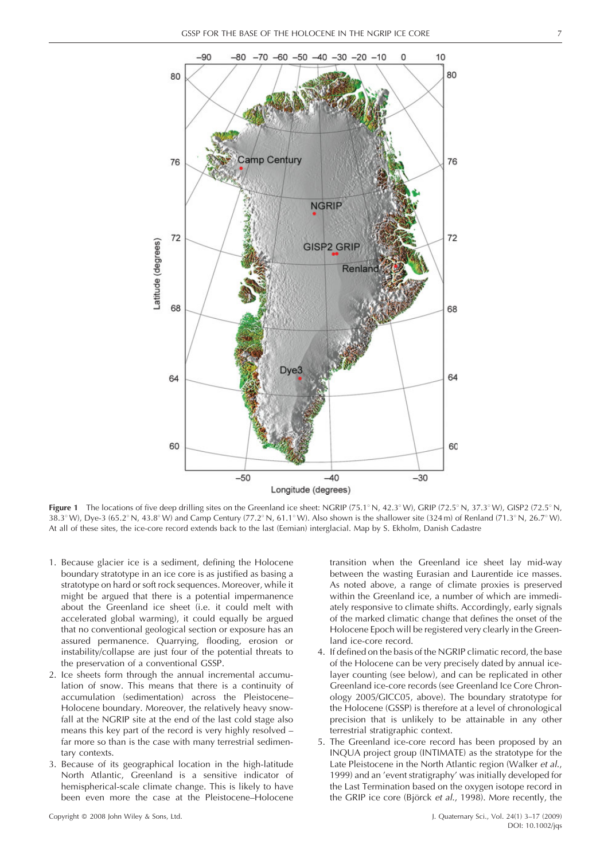

Figure 1 The locations of five deep drilling sites on the Greenland ice sheet: NGRIP (75.1° N, 42.3° W), GRIP (72.5° N, 37.3° W), GISP2 (72.5° N, 38.3°W), Dye-3 (65.2°N, 43.8°W) and Camp Century (77.2°N, 61.1°W). Also shown is the shallower site (324 m) of Renland (71.3°N, 26.7°W). At all of these sites, the ice-core record extends back to the last (Eemian) interglacial. Map by S. Ekholm, Danish Cadastre

- 1. Because glacier ice is a sediment, defining the Holocene boundary stratotype in an ice core is as justified as basing a stratotype on hard or soft rock sequences. Moreover, while it might be argued that there is a potential impermanence about the Greenland ice sheet (i.e. it could melt with accelerated global warming), it could equally be argued that no conventional geological section or exposure has an assured permanence. Quarrying, flooding, erosion or instability/collapse are just four of the potential threats to the preservation of a conventional GSSP.
- 2. Ice sheets form through the annual incremental accumulation of snow. This means that there is a continuity of accumulation (sedimentation) across the Pleistocene– Holocene boundary. Moreover, the relatively heavy snowfall at the NGRIP site at the end of the last cold stage also means this key part of the record is very highly resolved – far more so than is the case with many terrestrial sedimentary contexts.
- 3. Because of its geographical location in the high-latitude North Atlantic, Greenland is a sensitive indicator of hemispherical-scale climate change. This is likely to have been even more the case at the Pleistocene–Holocene

transition when the Greenland ice sheet lay mid-way between the wasting Eurasian and Laurentide ice masses. As noted above, a range of climate proxies is preserved within the Greenland ice, a number of which are immediately responsive to climate shifts. Accordingly, early signals of the marked climatic change that defines the onset of the Holocene Epoch will be registered very clearly in the Greenland ice-core record.

- 4. If defined on the basis of the NGRIP climatic record, the base of the Holocene can be very precisely dated by annual icelayer counting (see below), and can be replicated in other Greenland ice-core records (see Greenland Ice Core Chronology 2005/GICC05, above). The boundary stratotype for the Holocene (GSSP) is therefore at a level of chronological precision that is unlikely to be attainable in any other terrestrial stratigraphic context.
- 5. The Greenland ice-core record has been proposed by an INQUA project group (INTIMATE) as the stratotype for the Late Pleistocene in the North Atlantic region (Walker et al., 1999) and an 'event stratigraphy' was initially developed for the Last Termination based on the oxygen isotope record in the GRIP ice core (Björck et al., 1998). More recently, the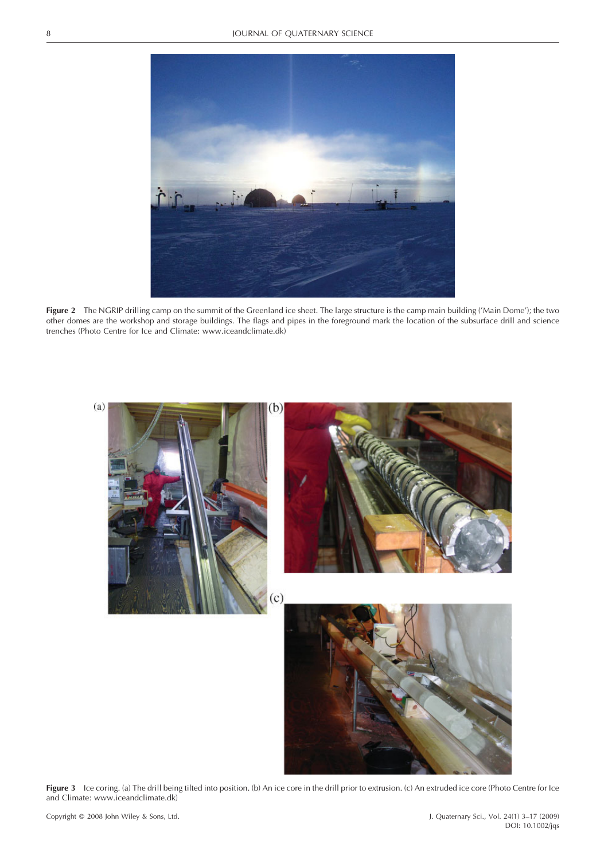

Figure 2 The NGRIP drilling camp on the summit of the Greenland ice sheet. The large structure is the camp main building ('Main Dome'); the two other domes are the workshop and storage buildings. The flags and pipes in the foreground mark the location of the subsurface drill and science trenches (Photo Centre for Ice and Climate: www.iceandclimate.dk)



Figure 3 Ice coring. (a) The drill being tilted into position. (b) An ice core in the drill prior to extrusion. (c) An extruded ice core (Photo Centre for Ice and Climate: www.iceandclimate.dk)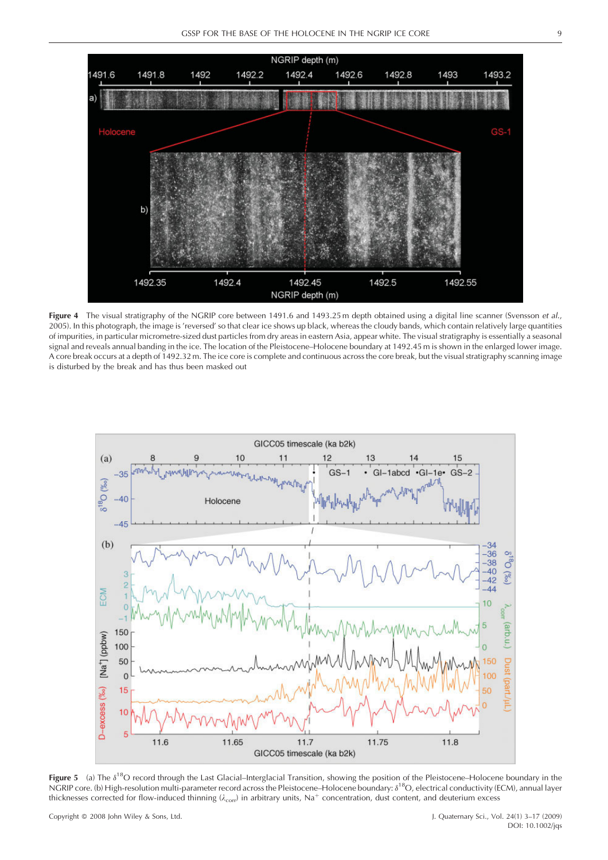

Figure 4 The visual stratigraphy of the NGRIP core between 1491.6 and 1493.25 m depth obtained using a digital line scanner (Svensson et al., 2005). In this photograph, the image is 'reversed' so that clear ice shows up black, whereas the cloudy bands, which contain relatively large quantities of impurities, in particular micrometre-sized dust particles from dry areas in eastern Asia, appear white. The visual stratigraphy is essentially a seasonal signal and reveals annual banding in the ice. The location of the Pleistocene–Holocene boundary at 1492.45 m is shown in the enlarged lower image. A core break occurs at a depth of 1492.32 m. The ice core is complete and continuous across the core break, but the visual stratigraphy scanning image is disturbed by the break and has thus been masked out



Figure 5 (a) The  $\delta^{18}$ O record through the Last Glacial–Interglacial Transition, showing the position of the Pleistocene–Holocene boundary in the NGRIP core. (b) High-resolution multi-parameter record across the Pleistocene–Holocene boundary:  $\delta^{18}O$ , electrical conductivity (ECM), annual layer thicknesses corrected for flow-induced thinning ( $\lambda_{\text{corr}}$ ) in arbitrary units, Na<sup>+</sup> concentration, dust content, and deuterium excess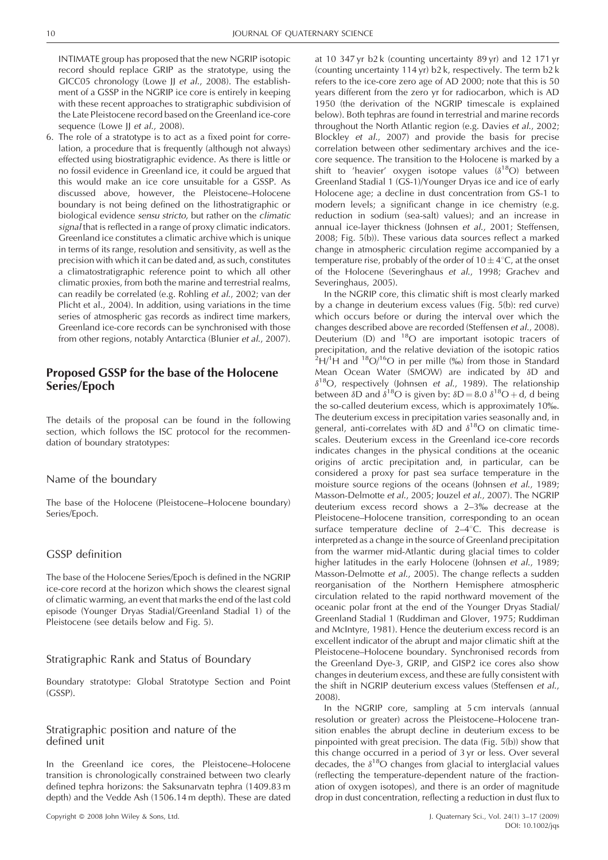INTIMATE group has proposed that the new NGRIP isotopic record should replace GRIP as the stratotype, using the GICC05 chronology (Lowe JJ et al., 2008). The establishment of a GSSP in the NGRIP ice core is entirely in keeping with these recent approaches to stratigraphic subdivision of the Late Pleistocene record based on the Greenland ice-core sequence (Lowe JJ et al., 2008).

6. The role of a stratotype is to act as a fixed point for correlation, a procedure that is frequently (although not always) effected using biostratigraphic evidence. As there is little or no fossil evidence in Greenland ice, it could be argued that this would make an ice core unsuitable for a GSSP. As discussed above, however, the Pleistocene–Holocene boundary is not being defined on the lithostratigraphic or biological evidence sensu stricto, but rather on the climatic signal that is reflected in a range of proxy climatic indicators. Greenland ice constitutes a climatic archive which is unique in terms of its range, resolution and sensitivity, as well as the precision with which it can be dated and, as such, constitutes a climatostratigraphic reference point to which all other climatic proxies, from both the marine and terrestrial realms, can readily be correlated (e.g. Rohling et al., 2002; van der Plicht et al., 2004). In addition, using variations in the time series of atmospheric gas records as indirect time markers, Greenland ice-core records can be synchronised with those from other regions, notably Antarctica (Blunier et al., 2007).

# Proposed GSSP for the base of the Holocene Series/Epoch

The details of the proposal can be found in the following section, which follows the ISC protocol for the recommendation of boundary stratotypes:

# Name of the boundary

The base of the Holocene (Pleistocene–Holocene boundary) Series/Epoch.

# GSSP definition

The base of the Holocene Series/Epoch is defined in the NGRIP ice-core record at the horizon which shows the clearest signal of climatic warming, an event that marks the end of the last cold episode (Younger Dryas Stadial/Greenland Stadial 1) of the Pleistocene (see details below and Fig. 5).

# Stratigraphic Rank and Status of Boundary

Boundary stratotype: Global Stratotype Section and Point (GSSP).

#### Stratigraphic position and nature of the defined unit

In the Greenland ice cores, the Pleistocene–Holocene transition is chronologically constrained between two clearly defined tephra horizons: the Saksunarvatn tephra (1409.83 m depth) and the Vedde Ash (1506.14 m depth). These are dated at 10 347 yr b2 k (counting uncertainty 89 yr) and 12 171 yr (counting uncertainty 114 yr) b2 k, respectively. The term b2 k refers to the ice-core zero age of AD 2000; note that this is 50 years different from the zero yr for radiocarbon, which is AD 1950 (the derivation of the NGRIP timescale is explained below). Both tephras are found in terrestrial and marine records throughout the North Atlantic region (e.g. Davies et al., 2002; Blockley et al., 2007) and provide the basis for precise correlation between other sedimentary archives and the icecore sequence. The transition to the Holocene is marked by a shift to 'heavier' oxygen isotope values  $(\delta^{18}O)$  between Greenland Stadial 1 (GS-1)/Younger Dryas ice and ice of early Holocene age; a decline in dust concentration from GS-1 to modern levels; a significant change in ice chemistry (e.g. reduction in sodium (sea-salt) values); and an increase in annual ice-layer thickness (Johnsen et al., 2001; Steffensen, 2008; Fig. 5(b)). These various data sources reflect a marked change in atmospheric circulation regime accompanied by a temperature rise, probably of the order of 10  $\pm$  4°C, at the onset of the Holocene (Severinghaus et al., 1998; Grachev and Severinghaus, 2005).

In the NGRIP core, this climatic shift is most clearly marked by a change in deuterium excess values (Fig. 5(b): red curve) which occurs before or during the interval over which the changes described above are recorded (Steffensen et al., 2008). Deuterium (D) and  ${}^{18}O$  are important isotopic tracers of precipitation, and the relative deviation of the isotopic ratios<br><sup>2</sup>H/<sup>1</sup>H and <sup>18</sup>O/<sup>16</sup>O in per mille (‰) from those in Standard Mean Ocean Water (SMOW) are indicated by  $\delta D$  and  $\delta^{18}O$ , respectively (Johnsen et al., 1989). The relationship between  $\delta D$  and  $\delta^{18}O$  is given by:  $\delta D = 8.0 \delta^{18}O + d$ , d being the so-called deuterium excess, which is approximately 10%. The deuterium excess in precipitation varies seasonally and, in general, anti-correlates with  $\delta D$  and  $\delta^{18}O$  on climatic timescales. Deuterium excess in the Greenland ice-core records indicates changes in the physical conditions at the oceanic origins of arctic precipitation and, in particular, can be considered a proxy for past sea surface temperature in the moisture source regions of the oceans (Johnsen et al., 1989; Masson-Delmotte et al., 2005; Jouzel et al., 2007). The NGRIP deuterium excess record shows a 2–3% decrease at the Pleistocene–Holocene transition, corresponding to an ocean surface temperature decline of  $2-4$ °C. This decrease is interpreted as a change in the source of Greenland precipitation from the warmer mid-Atlantic during glacial times to colder higher latitudes in the early Holocene (Johnsen et al., 1989; Masson-Delmotte et al., 2005). The change reflects a sudden reorganisation of the Northern Hemisphere atmospheric circulation related to the rapid northward movement of the oceanic polar front at the end of the Younger Dryas Stadial/ Greenland Stadial 1 (Ruddiman and Glover, 1975; Ruddiman and McIntyre, 1981). Hence the deuterium excess record is an excellent indicator of the abrupt and major climatic shift at the Pleistocene–Holocene boundary. Synchronised records from the Greenland Dye-3, GRIP, and GISP2 ice cores also show changes in deuterium excess, and these are fully consistent with the shift in NGRIP deuterium excess values (Steffensen et al., 2008).

In the NGRIP core, sampling at 5 cm intervals (annual resolution or greater) across the Pleistocene–Holocene transition enables the abrupt decline in deuterium excess to be pinpointed with great precision. The data (Fig. 5(b)) show that this change occurred in a period of 3 yr or less. Over several decades, the  $\delta^{18}O$  changes from glacial to interglacial values (reflecting the temperature-dependent nature of the fractionation of oxygen isotopes), and there is an order of magnitude drop in dust concentration, reflecting a reduction in dust flux to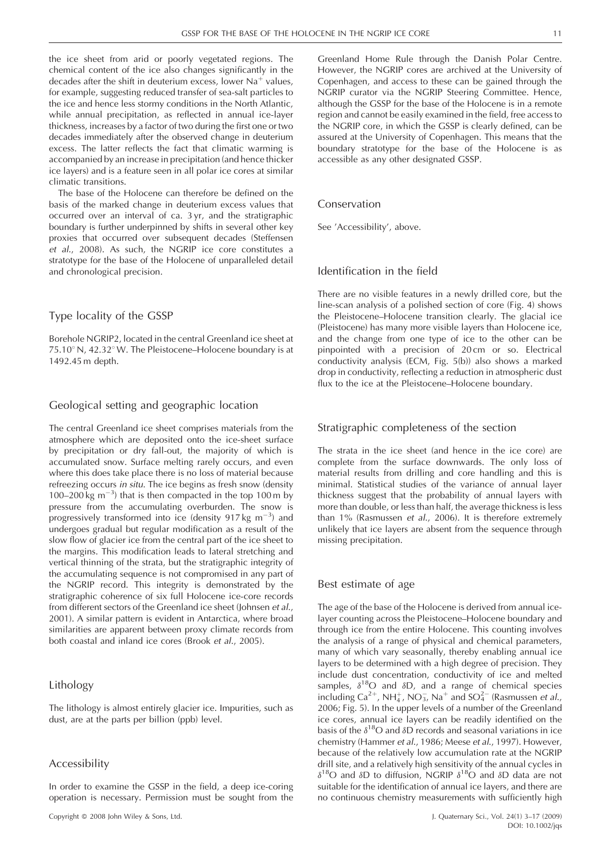the ice sheet from arid or poorly vegetated regions. The chemical content of the ice also changes significantly in the decades after the shift in deuterium excess, lower  $Na<sup>+</sup>$  values, for example, suggesting reduced transfer of sea-salt particles to the ice and hence less stormy conditions in the North Atlantic, while annual precipitation, as reflected in annual ice-layer thickness, increases by a factor of two during the first one or two decades immediately after the observed change in deuterium excess. The latter reflects the fact that climatic warming is accompanied by an increase in precipitation (and hence thicker ice layers) and is a feature seen in all polar ice cores at similar climatic transitions.

The base of the Holocene can therefore be defined on the basis of the marked change in deuterium excess values that occurred over an interval of ca. 3 yr, and the stratigraphic boundary is further underpinned by shifts in several other key proxies that occurred over subsequent decades (Steffensen et al., 2008). As such, the NGRIP ice core constitutes a stratotype for the base of the Holocene of unparalleled detail and chronological precision.

#### Type locality of the GSSP

Borehole NGRIP2, located in the central Greenland ice sheet at  $75.10^\circ$  N,  $42.32^\circ$  W. The Pleistocene–Holocene boundary is at 1492.45 m depth.

#### Geological setting and geographic location

The central Greenland ice sheet comprises materials from the atmosphere which are deposited onto the ice-sheet surface by precipitation or dry fall-out, the majority of which is accumulated snow. Surface melting rarely occurs, and even where this does take place there is no loss of material because refreezing occurs in situ. The ice begins as fresh snow (density 100–200 kg m<sup>-3</sup>) that is then compacted in the top 100 m by pressure from the accumulating overburden. The snow is progressively transformed into ice (density  $917 \text{ kg m}^{-3}$ ) and undergoes gradual but regular modification as a result of the slow flow of glacier ice from the central part of the ice sheet to the margins. This modification leads to lateral stretching and vertical thinning of the strata, but the stratigraphic integrity of the accumulating sequence is not compromised in any part of the NGRIP record. This integrity is demonstrated by the stratigraphic coherence of six full Holocene ice-core records from different sectors of the Greenland ice sheet (Johnsen et al., 2001). A similar pattern is evident in Antarctica, where broad similarities are apparent between proxy climate records from both coastal and inland ice cores (Brook et al., 2005).

### Lithology

The lithology is almost entirely glacier ice. Impurities, such as dust, are at the parts per billion (ppb) level.

#### Accessibility

In order to examine the GSSP in the field, a deep ice-coring operation is necessary. Permission must be sought from the

Greenland Home Rule through the Danish Polar Centre. However, the NGRIP cores are archived at the University of Copenhagen, and access to these can be gained through the NGRIP curator via the NGRIP Steering Committee. Hence, although the GSSP for the base of the Holocene is in a remote region and cannot be easily examined in the field, free access to the NGRIP core, in which the GSSP is clearly defined, can be assured at the University of Copenhagen. This means that the boundary stratotype for the base of the Holocene is as accessible as any other designated GSSP.

#### Conservation

See 'Accessibility', above.

### Identification in the field

There are no visible features in a newly drilled core, but the line-scan analysis of a polished section of core (Fig. 4) shows the Pleistocene–Holocene transition clearly. The glacial ice (Pleistocene) has many more visible layers than Holocene ice, and the change from one type of ice to the other can be pinpointed with a precision of 20 cm or so. Electrical conductivity analysis (ECM, Fig. 5(b)) also shows a marked drop in conductivity, reflecting a reduction in atmospheric dust flux to the ice at the Pleistocene–Holocene boundary.

#### Stratigraphic completeness of the section

The strata in the ice sheet (and hence in the ice core) are complete from the surface downwards. The only loss of material results from drilling and core handling and this is minimal. Statistical studies of the variance of annual layer thickness suggest that the probability of annual layers with more than double, or less than half, the average thickness is less than 1% (Rasmussen et al., 2006). It is therefore extremely unlikely that ice layers are absent from the sequence through missing precipitation.

#### Best estimate of age

The age of the base of the Holocene is derived from annual icelayer counting across the Pleistocene–Holocene boundary and through ice from the entire Holocene. This counting involves the analysis of a range of physical and chemical parameters, many of which vary seasonally, thereby enabling annual ice layers to be determined with a high degree of precision. They include dust concentration, conductivity of ice and melted samples,  $\delta^{18}O$  and  $\delta D$ , and a range of chemical species including  $Ca^{2+}$ , NH<sup> $+$ </sup>, NO<sub>3</sub>, Na<sup>+</sup> and SO<sup>2</sup><sup>-</sup> (Rasmussen *et al.*, 2006; Fig. 5). In the upper levels of a number of the Greenland ice cores, annual ice layers can be readily identified on the basis of the  $\delta^{18}O$  and  $\delta D$  records and seasonal variations in ice chemistry (Hammer et al., 1986; Meese et al., 1997). However, because of the relatively low accumulation rate at the NGRIP drill site, and a relatively high sensitivity of the annual cycles in  $\delta^{18}$ O and  $\delta$ D to diffusion, NGRIP  $\delta^{18}$ O and  $\delta$ D data are not suitable for the identification of annual ice layers, and there are no continuous chemistry measurements with sufficiently high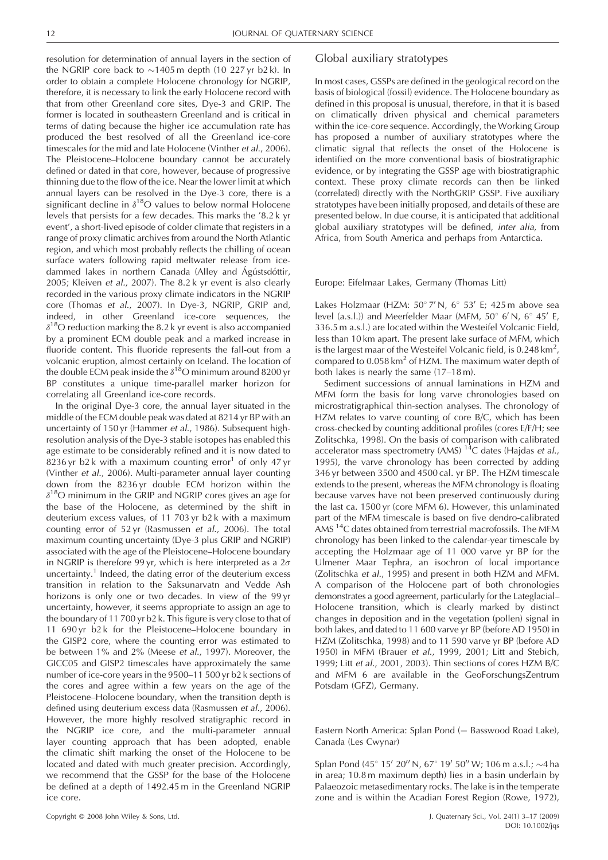resolution for determination of annual layers in the section of the NGRIP core back to  $\sim$ 1405 m depth (10 227 yr b2 k). In order to obtain a complete Holocene chronology for NGRIP, therefore, it is necessary to link the early Holocene record with that from other Greenland core sites, Dye-3 and GRIP. The former is located in southeastern Greenland and is critical in terms of dating because the higher ice accumulation rate has produced the best resolved of all the Greenland ice-core timescales for the mid and late Holocene (Vinther et al., 2006). The Pleistocene–Holocene boundary cannot be accurately defined or dated in that core, however, because of progressive thinning due to the flow of the ice. Near the lower limit at which annual layers can be resolved in the Dye-3 core, there is a significant decline in  $\delta^{18}O$  values to below normal Holocene levels that persists for a few decades. This marks the '8.2 k yr event', a short-lived episode of colder climate that registers in a range of proxy climatic archives from around the North Atlantic region, and which most probably reflects the chilling of ocean surface waters following rapid meltwater release from icedammed lakes in northern Canada (Alley and Ágústsdóttir, 2005; Kleiven et al., 2007). The 8.2 k yr event is also clearly recorded in the various proxy climate indicators in the NGRIP core (Thomas et al., 2007). In Dye-3, NGRIP, GRIP and, indeed, in other Greenland ice-core sequences, the  $\delta^{18}$ O reduction marking the 8.2 k yr event is also accompanied by a prominent ECM double peak and a marked increase in fluoride content. This fluoride represents the fall-out from a volcanic eruption, almost certainly on Iceland. The location of the double ECM peak inside the  $\delta^{18}$ O minimum around 8200 yr BP constitutes a unique time-parallel marker horizon for correlating all Greenland ice-core records.

In the original Dye-3 core, the annual layer situated in the middle of the ECM double peak was dated at 8214 yr BP with an uncertainty of 150 yr (Hammer et al., 1986). Subsequent highresolution analysis of the Dye-3 stable isotopes has enabled this age estimate to be considerably refined and it is now dated to 8236 yr b2 k with a maximum counting error<sup>1</sup> of only 47 yr (Vinther et al., 2006). Multi-parameter annual layer counting down from the 8236 yr double ECM horizon within the  $\delta^{18}$ O minimum in the GRIP and NGRIP cores gives an age for the base of the Holocene, as determined by the shift in deuterium excess values, of 11 703 yr b2 k with a maximum counting error of 52 yr (Rasmussen et al., 2006). The total maximum counting uncertainty (Dye-3 plus GRIP and NGRIP) associated with the age of the Pleistocene–Holocene boundary in NGRIP is therefore 99 yr, which is here interpreted as a  $2\sigma$ uncertainty. $<sup>1</sup>$  Indeed, the dating error of the deuterium excess</sup> transition in relation to the Saksunarvatn and Vedde Ash horizons is only one or two decades. In view of the 99 yr uncertainty, however, it seems appropriate to assign an age to the boundary of 11 700 yr b2 k. This figure is very close to that of 11 690 yr b2 k for the Pleistocene–Holocene boundary in the GISP2 core, where the counting error was estimated to be between 1% and 2% (Meese et al., 1997). Moreover, the GICC05 and GISP2 timescales have approximately the same number of ice-core years in the 9500–11 500 yr b2 k sections of the cores and agree within a few years on the age of the Pleistocene–Holocene boundary, when the transition depth is defined using deuterium excess data (Rasmussen et al., 2006). However, the more highly resolved stratigraphic record in the NGRIP ice core, and the multi-parameter annual layer counting approach that has been adopted, enable the climatic shift marking the onset of the Holocene to be located and dated with much greater precision. Accordingly, we recommend that the GSSP for the base of the Holocene be defined at a depth of 1492.45 m in the Greenland NGRIP ice core.

#### Global auxiliary stratotypes

In most cases, GSSPs are defined in the geological record on the basis of biological (fossil) evidence. The Holocene boundary as defined in this proposal is unusual, therefore, in that it is based on climatically driven physical and chemical parameters within the ice-core sequence. Accordingly, the Working Group has proposed a number of auxiliary stratotypes where the climatic signal that reflects the onset of the Holocene is identified on the more conventional basis of biostratigraphic evidence, or by integrating the GSSP age with biostratigraphic context. These proxy climate records can then be linked (correlated) directly with the NorthGRIP GSSP. Five auxiliary stratotypes have been initially proposed, and details of these are presented below. In due course, it is anticipated that additional global auxiliary stratotypes will be defined, inter alia, from Africa, from South America and perhaps from Antarctica.

#### Europe: Eifelmaar Lakes, Germany (Thomas Litt)

Lakes Holzmaar (HZM:  $50^{\circ}$  7' N,  $6^{\circ}$  53' E; 425 m above sea level (a.s.l.)) and Meerfelder Maar (MFM,  $50^{\circ}$  6' N,  $6^{\circ}$  45' E, 336.5 m a.s.l.) are located within the Westeifel Volcanic Field, less than 10 km apart. The present lake surface of MFM, which is the largest maar of the Westeifel Volcanic field, is 0.248 km<sup>2</sup>, compared to  $0.058 \text{ km}^2$  of HZM. The maximum water depth of both lakes is nearly the same (17–18 m).

Sediment successions of annual laminations in HZM and MFM form the basis for long varve chronologies based on microstratigraphical thin-section analyses. The chronology of HZM relates to varve counting of core B/C, which has been cross-checked by counting additional profiles (cores E/F/H; see Zolitschka, 1998). On the basis of comparison with calibrated accelerator mass spectrometry (AMS)  $14C$  dates (Hajdas et al., 1995), the varve chronology has been corrected by adding 346 yr between 3500 and 4500 cal. yr BP. The HZM timescale extends to the present, whereas the MFM chronology is floating because varves have not been preserved continuously during the last ca. 1500 yr (core MFM 6). However, this unlaminated part of the MFM timescale is based on five dendro-calibrated AMS 14C dates obtained from terrestrial macrofossils. The MFM chronology has been linked to the calendar-year timescale by accepting the Holzmaar age of 11 000 varve yr BP for the Ulmener Maar Tephra, an isochron of local importance (Zolitschka et al., 1995) and present in both HZM and MFM. A comparison of the Holocene part of both chronologies demonstrates a good agreement, particularly for the Lateglacial– Holocene transition, which is clearly marked by distinct changes in deposition and in the vegetation (pollen) signal in both lakes, and dated to 11 600 varve yr BP (before AD 1950) in HZM (Zolitschka, 1998) and to 11 590 varve yr BP (before AD 1950) in MFM (Brauer et al., 1999, 2001; Litt and Stebich, 1999; Litt et al., 2001, 2003). Thin sections of cores HZM B/C and MFM 6 are available in the GeoForschungsZentrum Potsdam (GFZ), Germany.

Eastern North America: Splan Pond  $(=$  Basswood Road Lake), Canada (Les Cwynar)

Splan Pond (45° 15′ 20″ N, 67° 19′ 50″ W; 106 m a.s.l.;  $\sim$ 4 ha in area; 10.8 m maximum depth) lies in a basin underlain by Palaeozoic metasedimentary rocks. The lake is in the temperate zone and is within the Acadian Forest Region (Rowe, 1972),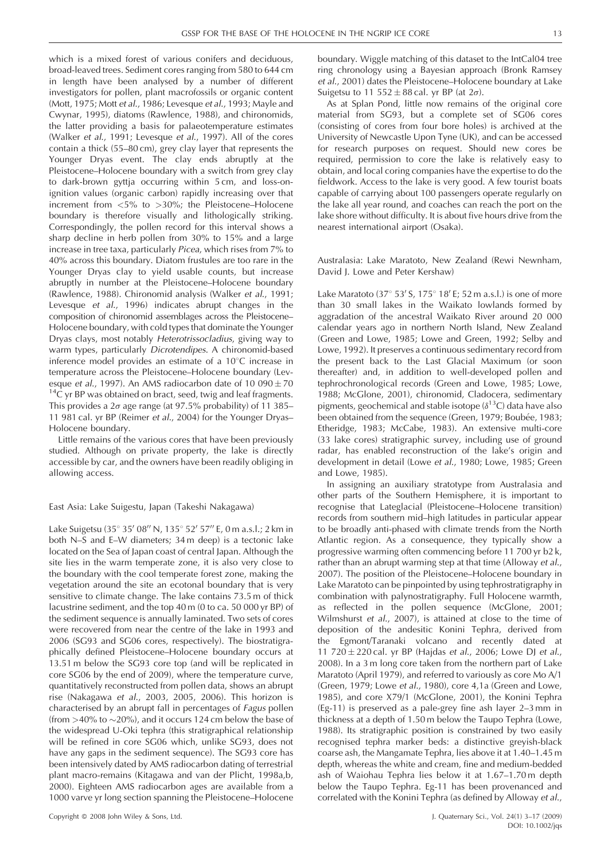which is a mixed forest of various conifers and deciduous, broad-leaved trees. Sediment cores ranging from 580 to 644 cm in length have been analysed by a number of different investigators for pollen, plant macrofossils or organic content (Mott, 1975; Mott et al., 1986; Levesque et al., 1993; Mayle and Cwynar, 1995), diatoms (Rawlence, 1988), and chironomids, the latter providing a basis for palaeotemperature estimates (Walker et al., 1991; Levesque et al., 1997). All of the cores contain a thick (55–80 cm), grey clay layer that represents the Younger Dryas event. The clay ends abruptly at the Pleistocene–Holocene boundary with a switch from grey clay to dark-brown gyttja occurring within 5 cm, and loss-onignition values (organic carbon) rapidly increasing over that increment from <5% to >30%; the Pleistocene–Holocene boundary is therefore visually and lithologically striking. Correspondingly, the pollen record for this interval shows a sharp decline in herb pollen from 30% to 15% and a large increase in tree taxa, particularly Picea, which rises from 7% to 40% across this boundary. Diatom frustules are too rare in the Younger Dryas clay to yield usable counts, but increase abruptly in number at the Pleistocene–Holocene boundary (Rawlence, 1988). Chironomid analysis (Walker et al., 1991; Levesque et al., 1996) indicates abrupt changes in the composition of chironomid assemblages across the Pleistocene– Holocene boundary, with cold types that dominate the Younger Dryas clays, most notably Heterotrissocladius, giving way to warm types, particularly Dicrotendipes. A chironomid-based inference model provides an estimate of a  $10^{\circ}$ C increase in temperature across the Pleistocene–Holocene boundary (Levesque et al., 1997). An AMS radiocarbon date of  $10\,090 \pm 70$  $14C$  yr BP was obtained on bract, seed, twig and leaf fragments. This provides a  $2\sigma$  age range (at 97.5% probability) of 11 385– 11 981 cal. yr BP (Reimer et al., 2004) for the Younger Dryas– Holocene boundary.

Little remains of the various cores that have been previously studied. Although on private property, the lake is directly accessible by car, and the owners have been readily obliging in allowing access.

East Asia: Lake Suigestu, Japan (Takeshi Nakagawa)

Lake Suigetsu (35° 35' 08" N, 135° 52' 57" E, 0 m a.s.l.; 2 km in both N–S and E–W diameters; 34 m deep) is a tectonic lake located on the Sea of Japan coast of central Japan. Although the site lies in the warm temperate zone, it is also very close to the boundary with the cool temperate forest zone, making the vegetation around the site an ecotonal boundary that is very sensitive to climate change. The lake contains 73.5 m of thick lacustrine sediment, and the top 40 m (0 to ca. 50 000 yr BP) of the sediment sequence is annually laminated. Two sets of cores were recovered from near the centre of the lake in 1993 and 2006 (SG93 and SG06 cores, respectively). The biostratigraphically defined Pleistocene–Holocene boundary occurs at 13.51 m below the SG93 core top (and will be replicated in core SG06 by the end of 2009), where the temperature curve, quantitatively reconstructed from pollen data, shows an abrupt rise (Nakagawa et al., 2003, 2005, 2006). This horizon is characterised by an abrupt fall in percentages of Fagus pollen (from  $>40\%$  to  $\sim$  20%), and it occurs 124 cm below the base of the widespread U-Oki tephra (this stratigraphical relationship will be refined in core SG06 which, unlike SG93, does not have any gaps in the sediment sequence). The SG93 core has been intensively dated by AMS radiocarbon dating of terrestrial plant macro-remains (Kitagawa and van der Plicht, 1998a,b, 2000). Eighteen AMS radiocarbon ages are available from a 1000 varve yr long section spanning the Pleistocene–Holocene

boundary. Wiggle matching of this dataset to the IntCal04 tree ring chronology using a Bayesian approach (Bronk Ramsey et al., 2001) dates the Pleistocene–Holocene boundary at Lake Suigetsu to 11 552  $\pm$  88 cal. yr BP (at 2 $\sigma$ ).

As at Splan Pond, little now remains of the original core material from SG93, but a complete set of SG06 cores (consisting of cores from four bore holes) is archived at the University of Newcastle Upon Tyne (UK), and can be accessed for research purposes on request. Should new cores be required, permission to core the lake is relatively easy to obtain, and local coring companies have the expertise to do the fieldwork. Access to the lake is very good. A few tourist boats capable of carrying about 100 passengers operate regularly on the lake all year round, and coaches can reach the port on the lake shore without difficulty. It is about five hours drive from the nearest international airport (Osaka).

Australasia: Lake Maratoto, New Zealand (Rewi Newnham, David J. Lowe and Peter Kershaw)

Lake Maratoto (37 $\degree$  53' S, 175 $\degree$  18' E; 52 m a.s.l.) is one of more than 30 small lakes in the Waikato lowlands formed by aggradation of the ancestral Waikato River around 20 000 calendar years ago in northern North Island, New Zealand (Green and Lowe, 1985; Lowe and Green, 1992; Selby and Lowe, 1992). It preserves a continuous sedimentary record from the present back to the Last Glacial Maximum (or soon thereafter) and, in addition to well-developed pollen and tephrochronological records (Green and Lowe, 1985; Lowe, 1988; McGlone, 2001), chironomid, Cladocera, sedimentary pigments, geochemical and stable isotope ( $\delta^{13}$ C) data have also been obtained from the sequence (Green, 1979; Boubée, 1983; Etheridge, 1983; McCabe, 1983). An extensive multi-core (33 lake cores) stratigraphic survey, including use of ground radar, has enabled reconstruction of the lake's origin and development in detail (Lowe et al., 1980; Lowe, 1985; Green and Lowe, 1985).

In assigning an auxiliary stratotype from Australasia and other parts of the Southern Hemisphere, it is important to recognise that Lateglacial (Pleistocene–Holocene transition) records from southern mid–high latitudes in particular appear to be broadly anti-phased with climate trends from the North Atlantic region. As a consequence, they typically show a progressive warming often commencing before 11 700 yr b2 k, rather than an abrupt warming step at that time (Alloway et al., 2007). The position of the Pleistocene–Holocene boundary in Lake Maratoto can be pinpointed by using tephrostratigraphy in combination with palynostratigraphy. Full Holocene warmth, as reflected in the pollen sequence (McGlone, 2001; Wilmshurst et al., 2007), is attained at close to the time of deposition of the andesitic Konini Tephra, derived from the Egmont/Taranaki volcano and recently dated at  $11\,720 \pm 220$  cal. yr BP (Hajdas *et al.*, 2006; Lowe DJ *et al.*, 2008). In a 3 m long core taken from the northern part of Lake Maratoto (April 1979), and referred to variously as core Mo A/1 (Green, 1979; Lowe et al., 1980), core 4,1a (Green and Lowe, 1985), and core X79/1 (McGlone, 2001), the Konini Tephra (Eg-11) is preserved as a pale-grey fine ash layer 2–3 mm in thickness at a depth of 1.50 m below the Taupo Tephra (Lowe, 1988). Its stratigraphic position is constrained by two easily recognised tephra marker beds: a distinctive greyish-black coarse ash, the Mangamate Tephra, lies above it at 1.40–1.45 m depth, whereas the white and cream, fine and medium-bedded ash of Waiohau Tephra lies below it at 1.67–1.70 m depth below the Taupo Tephra. Eg-11 has been provenanced and correlated with the Konini Tephra (as defined by Alloway et al.,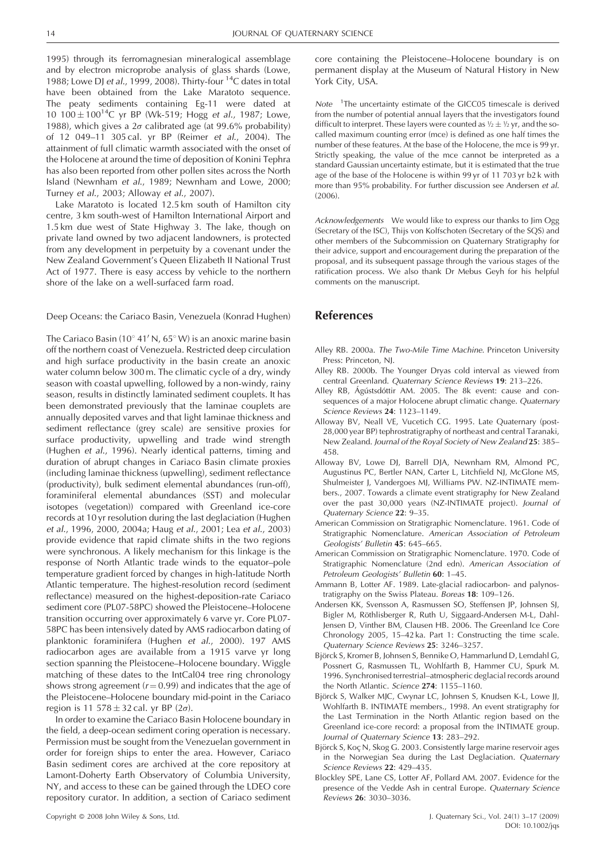1995) through its ferromagnesian mineralogical assemblage and by electron microprobe analysis of glass shards (Lowe, 1988; Lowe DJ et al., 1999, 2008). Thirty-four <sup>14</sup>C dates in total have been obtained from the Lake Maratoto sequence. The peaty sediments containing Eg-11 were dated at 10  $100 \pm 100^{14}$ C yr BP (Wk-519; Hogg et al., 1987; Lowe, 1988), which gives a  $2\sigma$  calibrated age (at 99.6% probability) of 12 049–11 305 cal. yr BP (Reimer et al., 2004). The attainment of full climatic warmth associated with the onset of the Holocene at around the time of deposition of Konini Tephra has also been reported from other pollen sites across the North Island (Newnham et al., 1989; Newnham and Lowe, 2000; Turney et al., 2003; Alloway et al., 2007).

Lake Maratoto is located 12.5 km south of Hamilton city centre, 3 km south-west of Hamilton International Airport and 1.5 km due west of State Highway 3. The lake, though on private land owned by two adjacent landowners, is protected from any development in perpetuity by a covenant under the New Zealand Government's Queen Elizabeth II National Trust Act of 1977. There is easy access by vehicle to the northern shore of the lake on a well-surfaced farm road.

Deep Oceans: the Cariaco Basin, Venezuela (Konrad Hughen)

The Cariaco Basin (10 $^{\circ}$  41' N, 65 $^{\circ}$  W) is an anoxic marine basin off the northern coast of Venezuela. Restricted deep circulation and high surface productivity in the basin create an anoxic water column below 300 m. The climatic cycle of a dry, windy season with coastal upwelling, followed by a non-windy, rainy season, results in distinctly laminated sediment couplets. It has been demonstrated previously that the laminae couplets are annually deposited varves and that light laminae thickness and sediment reflectance (grey scale) are sensitive proxies for surface productivity, upwelling and trade wind strength (Hughen et al., 1996). Nearly identical patterns, timing and duration of abrupt changes in Cariaco Basin climate proxies (including laminae thickness (upwelling), sediment reflectance (productivity), bulk sediment elemental abundances (run-off), foraminiferal elemental abundances (SST) and molecular isotopes (vegetation)) compared with Greenland ice-core records at 10 yr resolution during the last deglaciation (Hughen et al., 1996, 2000, 2004a; Haug et al., 2001; Lea et al., 2003) provide evidence that rapid climate shifts in the two regions were synchronous. A likely mechanism for this linkage is the response of North Atlantic trade winds to the equator–pole temperature gradient forced by changes in high-latitude North Atlantic temperature. The highest-resolution record (sediment reflectance) measured on the highest-deposition-rate Cariaco sediment core (PL07-58PC) showed the Pleistocene–Holocene transition occurring over approximately 6 varve yr. Core PL07- 58PC has been intensively dated by AMS radiocarbon dating of planktonic foraminifera (Hughen et al., 2000). 197 AMS radiocarbon ages are available from a 1915 varve yr long section spanning the Pleistocene–Holocene boundary. Wiggle matching of these dates to the IntCal04 tree ring chronology shows strong agreement ( $r = 0.99$ ) and indicates that the age of the Pleistocene–Holocene boundary mid-point in the Cariaco region is 11 578  $\pm$  32 cal. yr BP (2 $\sigma$ ).

In order to examine the Cariaco Basin Holocene boundary in the field, a deep-ocean sediment coring operation is necessary. Permission must be sought from the Venezuelan government in order for foreign ships to enter the area. However, Cariaco Basin sediment cores are archived at the core repository at Lamont-Doherty Earth Observatory of Columbia University, NY, and access to these can be gained through the LDEO core repository curator. In addition, a section of Cariaco sediment

core containing the Pleistocene–Holocene boundary is on permanent display at the Museum of Natural History in New York City, USA.

Note <sup>1</sup>The uncertainty estimate of the GICC05 timescale is derived from the number of potential annual layers that the investigators found difficult to interpret. These layers were counted as 1⁄2  $\pm$  1⁄2 yr, and the socalled maximum counting error (mce) is defined as one half times the number of these features. At the base of the Holocene, the mce is 99 yr. Strictly speaking, the value of the mce cannot be interpreted as a standard Gaussian uncertainty estimate, but it is estimated that the true age of the base of the Holocene is within 99 yr of 11 703 yr b2 k with more than 95% probability. For further discussion see Andersen et al. (2006).

Acknowledgements We would like to express our thanks to Jim Ogg (Secretary of the ISC), Thijs von Kolfschoten (Secretary of the SQS) and other members of the Subcommission on Quaternary Stratigraphy for their advice, support and encouragement during the preparation of the proposal, and its subsequent passage through the various stages of the ratification process. We also thank Dr Mebus Geyh for his helpful comments on the manuscript.

# References

- Alley RB. 2000a. The Two-Mile Time Machine. Princeton University Press: Princeton, NJ.
- Alley RB. 2000b. The Younger Dryas cold interval as viewed from central Greenland. Quaternary Science Reviews 19: 213–226.
- Alley RB, Ágústsdóttir AM. 2005. The 8k event: cause and consequences of a major Holocene abrupt climatic change. Quaternary Science Reviews 24: 1123–1149.
- Alloway BV, Neall VE, Vucetich CG. 1995. Late Quaternary (post-28,000 year BP) tephrostratigraphy of northeast and central Taranaki, New Zealand. Journal of the Royal Society of New Zealand 25: 385– 458.
- Alloway BV, Lowe DJ, Barrell DJA, Newnham RM, Almond PC, Augustinus PC, Bertler NAN, Carter L, Litchfield NJ, McGlone MS, Shulmeister J, Vandergoes MJ, Williams PW. NZ-INTIMATE members., 2007. Towards a climate event stratigraphy for New Zealand over the past 30,000 years (NZ-INTIMATE project). Journal of Quaternary Science 22: 9–35.
- American Commission on Stratigraphic Nomenclature. 1961. Code of Stratigraphic Nomenclature. American Association of Petroleum Geologists' Bulletin 45: 645–665.
- American Commission on Stratigraphic Nomenclature. 1970. Code of Stratigraphic Nomenclature (2nd edn). American Association of Petroleum Geologists' Bulletin 60: 1–45.
- Ammann B, Lotter AF. 1989. Late-glacial radiocarbon- and palynostratigraphy on the Swiss Plateau. Boreas 18: 109–126.
- Andersen KK, Svensson A, Rasmussen SO, Steffensen JP, Johnsen SJ, Bigler M, Röthlisberger R, Ruth U, Siggaard-Andersen M-L, Dahl-Jensen D, Vinther BM, Clausen HB. 2006. The Greenland Ice Core Chronology 2005, 15–42 ka. Part 1: Constructing the time scale. Quaternary Science Reviews 25: 3246–3257.
- Björck S, Kromer B, Johnsen S, Bennike O, Hammarlund D, Lemdahl G, Possnert G, Rasmussen TL, Wohlfarth B, Hammer CU, Spurk M. 1996. Synchronised terrestrial–atmospheric deglacial records around the North Atlantic. Science 274: 1155–1160.
- Björck S, Walker MJC, Cwynar LC, Johnsen S, Knudsen K-L, Lowe JJ, Wohlfarth B. INTIMATE members., 1998. An event stratigraphy for the Last Termination in the North Atlantic region based on the Greenland ice-core record: a proposal from the INTIMATE group. Journal of Quaternary Science 13: 283–292.
- Björck S, Koç N, Skog G. 2003. Consistently large marine reservoir ages in the Norwegian Sea during the Last Deglaciation. Quaternary Science Reviews 22: 429–435.
- Blockley SPE, Lane CS, Lotter AF, Pollard AM. 2007. Evidence for the presence of the Vedde Ash in central Europe. Quaternary Science Reviews 26: 3030–3036.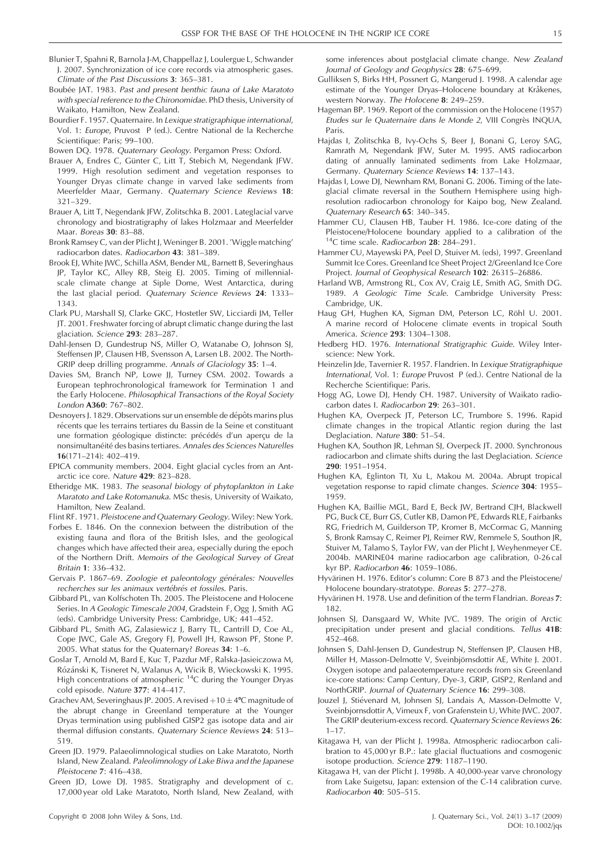- Blunier T, Spahni R, Barnola J-M, Chappellaz J, Loulergue L, Schwander J. 2007. Synchronization of ice core records via atmospheric gases. Climate of the Past Discussions 3: 365–381.
- Boubée JAT. 1983. Past and present benthic fauna of Lake Maratoto with special reference to the Chironomidae. PhD thesis, University of Waikato, Hamilton, New Zealand.
- Bourdier F. 1957. Quaternaire. In Lexique stratigraphique international, Vol. 1: Europe, Pruvost P (ed.). Centre National de la Recherche Scientifique: Paris; 99–100.

Bowen DQ. 1978. Quaternary Geology. Pergamon Press: Oxford.

- Brauer A, Endres C, Günter C, Litt T, Stebich M, Negendank JFW. 1999. High resolution sediment and vegetation responses to Younger Dryas climate change in varved lake sediments from Meerfelder Maar, Germany. Quaternary Science Reviews 18: 321–329.
- Brauer A, Litt T, Negendank JFW, Zolitschka B. 2001. Lateglacial varve chronology and biostratigraphy of lakes Holzmaar and Meerfelder Maar. Boreas 30: 83–88.
- Bronk Ramsey C, van der Plicht J, Weninger B. 2001. 'Wiggle matching' radiocarbon dates. Radiocarbon 43: 381–389.
- Brook EJ, White JWC, Schilla ASM, Bender ML, Barnett B, Severinghaus JP, Taylor KC, Alley RB, Steig EJ. 2005. Timing of millennialscale climate change at Siple Dome, West Antarctica, during the last glacial period. Quaternary Science Reviews 24: 1333– 1343.
- Clark PU, Marshall SJ, Clarke GKC, Hostetler SW, Licciardi JM, Teller JT. 2001. Freshwater forcing of abrupt climatic change during the last glaciation. Science 293: 283–287.
- Dahl-Jensen D, Gundestrup NS, Miller O, Watanabe O, Johnson SJ, Steffensen JP, Clausen HB, Svensson A, Larsen LB. 2002. The North-GRIP deep drilling programme. Annals of Glaciology 35: 1–4.
- Davies SM, Branch NP, Lowe JJ, Turney CSM. 2002. Towards a European tephrochronological framework for Termination 1 and the Early Holocene. Philosophical Transactions of the Royal Society London A360: 767–802.
- Desnoyers J. 1829. Observations sur un ensemble de dépôts marins plus récents que les terrains tertiares du Bassin de la Seine et constituant une formation géologique distincte: précédés d'un aperçu de la nonsimultanéité des basins tertiares. Annales des Sciences Naturelles 16(171–214): 402–419.
- EPICA community members. 2004. Eight glacial cycles from an Antarctic ice core. Nature 429: 823–828.
- Etheridge MK. 1983. The seasonal biology of phytoplankton in Lake Maratoto and Lake Rotomanuka. MSc thesis, University of Waikato, Hamilton, New Zealand.
- Flint RF. 1971. Pleistocene and Quaternary Geology. Wiley: New York.
- Forbes E. 1846. On the connexion between the distribution of the existing fauna and flora of the British Isles, and the geological changes which have affected their area, especially during the epoch of the Northern Drift. Memoirs of the Geological Survey of Great Britain 1: 336–432.
- Gervais P. 1867-69. Zoologie et paleontology générales: Nouvelles recherches sur les animaux vertébrés et fossiles. Paris.
- Gibbard PL, van Kolfschoten Th. 2005. The Pleistocene and Holocene Series. In A Geologic Timescale 2004, Gradstein F, Ogg J, Smith AG (eds). Cambridge University Press: Cambridge, UK; 441–452.
- Gibbard PL, Smith AG, Zalasiewicz J, Barry TL, Cantrill D, Coe AL, Cope JWC, Gale AS, Gregory FJ, Powell JH, Rawson PF, Stone P. 2005. What status for the Quaternary? Boreas 34: 1–6.
- Goslar T, Arnold M, Bard E, Kuc T, Pazdur MF, Ralska-Jasieiczowa M, Rózánski K, Tisneret N, Walanus A, Wicik B, Wieckowski K. 1995. High concentrations of atmospheric 14C during the Younger Dryas cold episode. Nature 377: 414–417.
- Grachev AM, Severinghaus JP. 2005. A revised  $+10 \pm 4$ °C magnitude of the abrupt change in Greenland temperature at the Younger Dryas termination using published GISP2 gas isotope data and air thermal diffusion constants. Quaternary Science Reviews 24: 513– 519.
- Green JD. 1979. Palaeolimnological studies on Lake Maratoto, North Island, New Zealand. Paleolimnology of Lake Biwa and the Japanese Pleistocene 7: 416–438.
- Green JD, Lowe DJ. 1985. Stratigraphy and development of c. 17,000 year old Lake Maratoto, North Island, New Zealand, with

some inferences about postglacial climate change. New Zealand Journal of Geology and Geophysics 28: 675–699.

- Gulliksen S, Birks HH, Possnert G, Mangerud J. 1998. A calendar age estimate of the Younger Dryas–Holocene boundary at Kråkenes, western Norway. The Holocene 8: 249–259.
- Hageman BP. 1969. Report of the commission on the Holocene (1957) Etudes sur le Quaternaire dans le Monde 2, VIII Congrès INQUA, Paris.
- Hajdas I, Zolitschka B, Ivy-Ochs S, Beer J, Bonani G, Leroy SAG, Ramrath M, Negendank JFW, Suter M. 1995. AMS radiocarbon dating of annually laminated sediments from Lake Holzmaar, Germany. Quaternary Science Reviews 14: 137–143.
- Hajdas I, Lowe DJ, Newnham RM, Bonani G. 2006. Timing of the lateglacial climate reversal in the Southern Hemisphere using highresolution radiocarbon chronology for Kaipo bog, New Zealand. Quaternary Research 65: 340–345.
- Hammer CU, Clausen HB, Tauber H. 1986. Ice-core dating of the Pleistocene/Holocene boundary applied to a calibration of the <sup>14</sup>C time scale. Radiocarbon 28: 284-291.
- Hammer CU, Mayewski PA, Peel D, Stuiver M. (eds), 1997. Greenland Summit Ice Cores. Greenland Ice Sheet Project 2/Greenland Ice Core Project. Journal of Geophysical Research 102: 26315–26886.
- Harland WB, Armstrong RL, Cox AV, Craig LE, Smith AG, Smith DG. 1989. A Geologic Time Scale. Cambridge University Press: Cambridge, UK.
- Haug GH, Hughen KA, Sigman DM, Peterson LC, Röhl U. 2001. A marine record of Holocene climate events in tropical South America. Science 293: 1304–1308.
- Hedberg HD. 1976. International Stratigraphic Guide. Wiley Interscience: New York.
- Heinzelin Jde, Tavernier R. 1957. Flandrien. In Lexique Stratigraphique International, Vol. 1: Europe Pruvost P (ed.). Centre National de la Recherche Scientifique: Paris.
- Hogg AG, Lowe DJ, Hendy CH. 1987. University of Waikato radiocarbon dates I. Radiocarbon 29: 263–301.
- Hughen KA, Overpeck JT, Peterson LC, Trumbore S. 1996. Rapid climate changes in the tropical Atlantic region during the last Deglaciation. Nature 380: 51–54.
- Hughen KA, Southon JR, Lehman SJ, Overpeck JT. 2000. Synchronous radiocarbon and climate shifts during the last Deglaciation. Science 290: 1951–1954.
- Hughen KA, Eglinton TI, Xu L, Makou M. 2004a. Abrupt tropical vegetation response to rapid climate changes. Science 304: 1955– 1959.
- Hughen KA, Baillie MGL, Bard E, Beck JW, Bertrand CJH, Blackwell PG, Buck CE, Burr GS, Cutler KB, Damon PE, Edwards RLE, Fairbanks RG, Friedrich M, Guilderson TP, Kromer B, McCormac G, Manning S, Bronk Ramsay C, Reimer PJ, Reimer RW, Remmele S, Southon JR, Stuiver M, Talamo S, Taylor FW, van der Plicht J, Weyhenmeyer CE. 2004b. MARINE04 marine radiocarbon age calibration, 0-26 cal kyr BP. Radiocarbon 46: 1059–1086.
- Hyvärinen H. 1976. Editor's column: Core B 873 and the Pleistocene/ .<br>Holocene boundary-stratotype. Boreas 5: 277–278.
- Hyvärinen H. 1978. Use and definition of the term Flandrian. Boreas 7: 182.
- Johnsen SJ, Dansgaard W, White JVC. 1989. The origin of Arctic precipitation under present and glacial conditions. Tellus 41B: 452–468.
- Johnsen S, Dahl-Jensen D, Gundestrup N, Steffensen JP, Clausen HB, Miller H, Masson-Delmotte V, Sveinbjörnsdottir AE, White J. 2001. Oxygen isotope and palaeotemperature records from six Greenland ice-core stations: Camp Century, Dye-3, GRIP, GISP2, Renland and NorthGRIP. Journal of Quaternary Science 16: 299–308.
- Jouzel J, Stiévenard M, Johnsen SJ, Landais A, Masson-Delmotte V, Sveinbjornsdottir A, Vimeux F, von Grafenstein U, White JWC. 2007. The GRIP deuterium-excess record. Quaternary Science Reviews 26: 1–17.
- Kitagawa H, van der Plicht J. 1998a. Atmospheric radiocarbon calibration to 45,000 yr B.P.: late glacial fluctuations and cosmogenic isotope production. Science 279: 1187–1190.
- Kitagawa H, van der Plicht J. 1998b. A 40,000-year varve chronology from Lake Suigetsu, Japan: extension of the C-14 calibration curve. Radiocarbon 40: 505–515.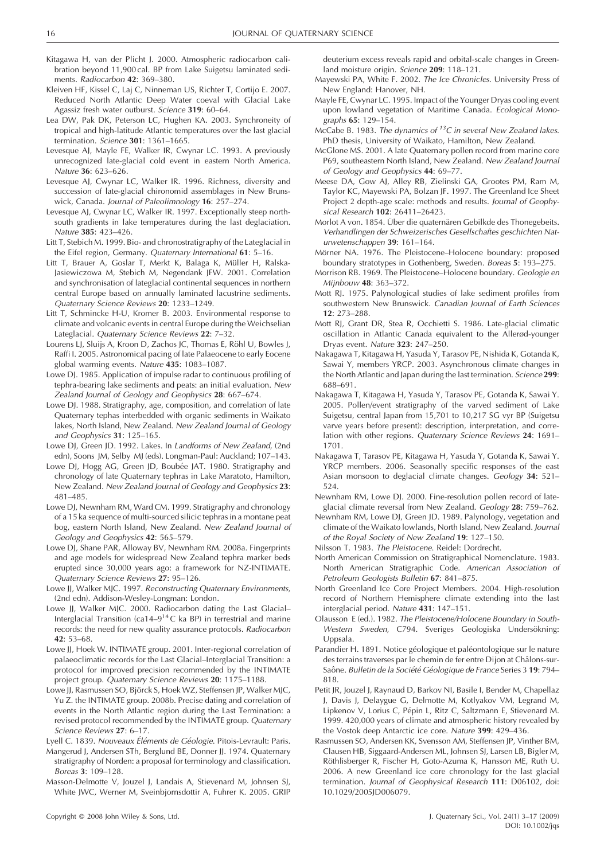- Kitagawa H, van der Plicht J. 2000. Atmospheric radiocarbon calibration beyond 11,900 cal. BP from Lake Suigetsu laminated sediments. Radiocarbon 42: 369–380.
- Kleiven HF, Kissel C, Laj C, Ninneman US, Richter T, Cortijo E. 2007. Reduced North Atlantic Deep Water coeval with Glacial Lake Agassiz fresh water outburst. Science 319: 60–64.
- Lea DW, Pak DK, Peterson LC, Hughen KA. 2003. Synchroneity of tropical and high-latitude Atlantic temperatures over the last glacial termination. Science 301: 1361–1665.
- Levesque AJ, Mayle FE, Walker IR, Cwynar LC. 1993. A previously unrecognized late-glacial cold event in eastern North America. Nature 36: 623–626.
- Levesque AJ, Cwynar LC, Walker IR. 1996. Richness, diversity and succession of late-glacial chironomid assemblages in New Brunswick, Canada. Journal of Paleolimnology 16: 257–274.
- Levesque AJ, Cwynar LC, Walker IR. 1997. Exceptionally steep northsouth gradients in lake temperatures during the last deglaciation. Nature 385: 423–426.
- Litt T, Stebich M. 1999. Bio- and chronostratigraphy of the Lateglacial in the Eifel region, Germany. Quaternary International 61: 5–16.
- Litt T, Brauer A, Goslar T, Merkt K, Balaga K, Müller H, Ralska-Jasiewiczowa M, Stebich M, Negendank JFW. 2001. Correlation and synchronisation of lateglacial continental sequences in northern central Europe based on annually laminated lacustrine sediments. Quaternary Science Reviews 20: 1233–1249.
- Litt T, Schmincke H-U, Kromer B. 2003. Environmental response to climate and volcanic events in central Europe during the Weichselian Lateglacial. Quaternary Science Reviews 22: 7–32.
- Lourens LJ, Sluijs A, Kroon D, Zachos JC, Thomas E, Röhl U, Bowles J, Raffi I. 2005. Astronomical pacing of late Palaeocene to early Eocene global warming events. Nature 435: 1083–1087.
- Lowe DJ. 1985. Application of impulse radar to continuous profiling of tephra-bearing lake sediments and peats: an initial evaluation. New Zealand Journal of Geology and Geophysics 28: 667–674.
- Lowe DJ. 1988. Stratigraphy, age, composition, and correlation of late Quaternary tephas interbedded with organic sediments in Waikato lakes, North Island, New Zealand. New Zealand Journal of Geology and Geophysics 31: 125–165.
- Lowe DJ, Green JD. 1992. Lakes. In Landforms of New Zealand, (2nd edn), Soons JM, Selby MJ (eds). Longman-Paul: Auckland; 107–143.
- Lowe DJ, Hogg AG, Green JD, Boubée JAT. 1980. Stratigraphy and chronology of late Quaternary tephras in Lake Maratoto, Hamilton, New Zealand. New Zealand Journal of Geology and Geophysics 23: 481–485.
- Lowe DJ, Newnham RM, Ward CM. 1999. Stratigraphy and chronology of a 15 ka sequence of multi-sourced silicic tephras in a montane peat bog, eastern North Island, New Zealand. New Zealand Journal of Geology and Geophysics 42: 565–579.
- Lowe DJ, Shane PAR, Alloway BV, Newnham RM. 2008a. Fingerprints and age models for widespread New Zealand tephra marker beds erupted since 30,000 years ago: a framework for NZ-INTIMATE. Quaternary Science Reviews 27: 95–126.
- Lowe JJ, Walker MJC. 1997. Reconstructing Quaternary Environments, (2nd edn). Addison-Wesley-Longman: London.
- Lowe JJ, Walker MJC. 2000. Radiocarbon dating the Last Glacial– Interglacial Transition (ca14–9<sup>14</sup>C ka BP) in terrestrial and marine records: the need for new quality assurance protocols. Radiocarbon 42: 53–68.
- Lowe JJ, Hoek W. INTIMATE group. 2001. Inter-regional correlation of palaeoclimatic records for the Last Glacial–Interglacial Transition: a protocol for improved precision recommended by the INTIMATE project group. Quaternary Science Reviews 20: 1175–1188.
- Lowe JJ, Rasmussen SO, Björck S, Hoek WZ, Steffensen JP, Walker MJC, Yu Z. the INTIMATE group. 2008b. Precise dating and correlation of events in the North Atlantic region during the Last Termination: a revised protocol recommended by the INTIMATE group. Quaternary Science Reviews 27: 6–17.

Lyell C. 1839. Nouveaux Éléments de Géologie. Pitois-Levrault: Paris.

- Mangerud J, Andersen STh, Berglund BE, Donner JJ. 1974. Quaternary stratigraphy of Norden: a proposal for terminology and classification. Boreas 3: 109–128.
- Masson-Delmotte V, Jouzel J, Landais A, Stievenard M, Johnsen SJ, White JWC, Werner M, Sveinbjornsdottir A, Fuhrer K. 2005. GRIP

deuterium excess reveals rapid and orbital-scale changes in Greenland moisture origin. Science 209: 118–121.

- Mayewski PA, White F. 2002. The Ice Chronicles. University Press of New England: Hanover, NH.
- Mayle FE, Cwynar LC. 1995. Impact of the Younger Dryas cooling event upon lowland vegetation of Maritime Canada. Ecological Monographs 65: 129–154.
- McCabe B. 1983. The dynamics of  $^{13}$ C in several New Zealand lakes. PhD thesis, University of Waikato, Hamilton, New Zealand.
- McGlone MS. 2001. A late Quaternary pollen record from marine core P69, southeastern North Island, New Zealand. New Zealand Journal of Geology and Geophysics 44: 69–77.
- Meese DA, Gow AJ, Alley RB, Zielinski GA, Grootes PM, Ram M, Taylor KC, Mayewski PA, Bolzan JF. 1997. The Greenland Ice Sheet Project 2 depth-age scale: methods and results. Journal of Geophysical Research 102: 26411–26423.
- Morlot A von. 1854. Über die quaternären Gebilkde des Thonegebeits. Verhandlingen der Schweizerisches Gesellschaftes geschichten Naturwetenschappen 39: 161–164.
- Mörner NA. 1976. The Pleistocene–Holocene boundary: proposed boundary stratotypes in Gothenberg, Sweden. Boreas 5: 193–275.
- Morrison RB. 1969. The Pleistocene–Holocene boundary. Geologie en Mijnbouw 48: 363–372.
- Mott RJ. 1975. Palynological studies of lake sediment profiles from southwestern New Brunswick. Canadian Journal of Earth Sciences  $12.273 - 288$
- Mott RJ, Grant DR, Stea R, Occhietti S. 1986. Late-glacial climatic oscillation in Atlantic Canada equivalent to the Allerød-younger Dryas event. Nature 323: 247–250.
- Nakagawa T, Kitagawa H, Yasuda Y, Tarasov PE, Nishida K, Gotanda K, Sawai Y, members YRCP. 2003. Asynchronous climate changes in the North Atlantic and Japan during the last termination. Science 299: 688–691.
- Nakagawa T, Kitagawa H, Yasuda Y, Tarasov PE, Gotanda K, Sawai Y. 2005. Pollen/event stratigraphy of the varved sediment of Lake Suigetsu, central Japan from 15,701 to 10,217 SG vyr BP (Suigetsu varve years before present): description, interpretation, and correlation with other regions. Quaternary Science Reviews 24: 1691– 1701.
- Nakagawa T, Tarasov PE, Kitagawa H, Yasuda Y, Gotanda K, Sawai Y. YRCP members. 2006. Seasonally specific responses of the east Asian monsoon to deglacial climate changes. Geology 34: 521– 524.
- Newnham RM, Lowe DJ. 2000. Fine-resolution pollen record of lateglacial climate reversal from New Zealand. Geology 28: 759-762.
- Newnham RM, Lowe DJ, Green JD. 1989. Palynology, vegetation and climate of the Waikato lowlands, North Island, New Zealand. Journal of the Royal Society of New Zealand 19: 127–150.
- Nilsson T. 1983. The Pleistocene. Reidel: Dordrecht.
- North American Commission on Stratigraphical Nomenclature. 1983. North American Stratigraphic Code. American Association of Petroleum Geologists Bulletin 67: 841–875.
- North Greenland Ice Core Project Members. 2004. High-resolution record of Northern Hemisphere climate extending into the last interglacial period. Nature 431: 147–151.
- Olausson E (ed.). 1982. The Pleistocene/Holocene Boundary in South-Western Sweden, C794. Sveriges Geologiska Undersökning: Uppsala.
- Parandier H. 1891. Notice géologique et paléontologique sur le nature des terrains traverses par le chemin de fer entre Dijon at Châlons-sur-Saône. Bulletin de la Société Géologique de France Series 3 19: 794– 818.
- Petit JR, Jouzel J, Raynaud D, Barkov NI, Basile I, Bender M, Chapellaz J, Davis J, Delaygue G, Delmotte M, Kotlyakov VM, Legrand M, Lipkenov V, Lorius C, Pépin L, Ritz C, Saltzmann E, Stievenard M. 1999. 420,000 years of climate and atmospheric history revealed by the Vostok deep Antarctic ice core. Nature 399: 429–436.
- Rasmussen SO, Andersen KK, Svensson AM, Steffensen JP, Vinther BM, Clausen HB, Siggaard-Andersen ML, Johnsen SJ, Larsen LB, Bigler M, Röthlisberger R, Fischer H, Goto-Azuma K, Hansson ME, Ruth U. 2006. A new Greenland ice core chronology for the last glacial termination. Journal of Geophysical Research 111: D06102, doi: 10.1029/2005JD006079.